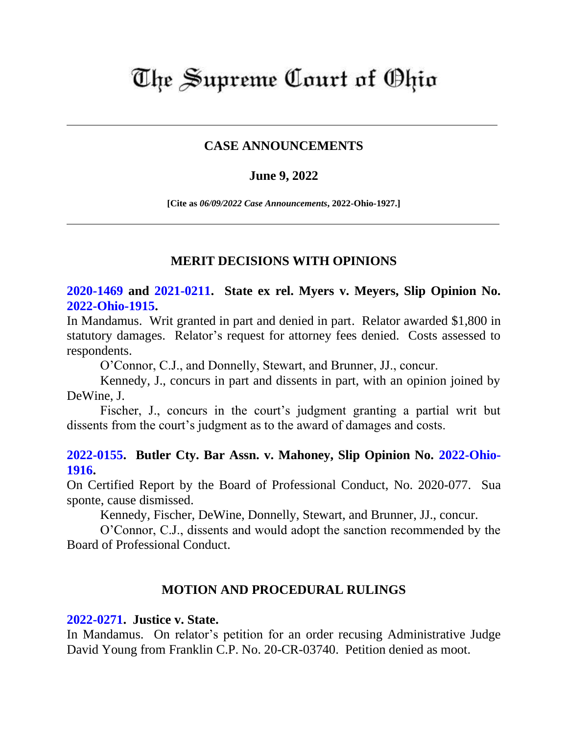# The Supreme Court of Ohio

### **CASE ANNOUNCEMENTS**

#### **June 9, 2022**

**[Cite as** *06/09/2022 Case Announcements***, 2022-Ohio-1927.]**

### **MERIT DECISIONS WITH OPINIONS**

# **[2020-1469](https://www.supremecourt.ohio.gov/Clerk/ecms/#/caseinfo/2020/1469) and [2021-0211.](https://www.supremecourt.ohio.gov/Clerk/ecms/#/caseinfo/2021/0211) State ex rel. Myers v. Meyers, Slip Opinion No. [2022-Ohio-1915.](https://www.supremecourt.ohio.gov/rod/docs/pdf/0/2022/2022-Ohio-1915.pdf)**

In Mandamus. Writ granted in part and denied in part. Relator awarded \$1,800 in statutory damages. Relator's request for attorney fees denied. Costs assessed to respondents.

O'Connor, C.J., and Donnelly, Stewart, and Brunner, JJ., concur.

Kennedy, J., concurs in part and dissents in part, with an opinion joined by DeWine, J.

Fischer, J., concurs in the court's judgment granting a partial writ but dissents from the court's judgment as to the award of damages and costs.

### **[2022-0155.](https://www.supremecourt.ohio.gov/Clerk/ecms/#/caseinfo/2022/0155) Butler Cty. Bar Assn. v. Mahoney, Slip Opinion No. [2022-Ohio-](https://www.supremecourt.ohio.gov/rod/docs/pdf/0/2022/2022-Ohio-1916.pdf)[1916.](https://www.supremecourt.ohio.gov/rod/docs/pdf/0/2022/2022-Ohio-1916.pdf)**

On Certified Report by the Board of Professional Conduct, No. 2020-077. Sua sponte, cause dismissed.

Kennedy, Fischer, DeWine, Donnelly, Stewart, and Brunner, JJ., concur.

O'Connor, C.J., dissents and would adopt the sanction recommended by the Board of Professional Conduct.

#### **MOTION AND PROCEDURAL RULINGS**

#### **[2022-0271.](https://www.supremecourt.ohio.gov/Clerk/ecms/#/caseinfo/2022/0271) Justice v. State.**

In Mandamus. On relator's petition for an order recusing Administrative Judge David Young from Franklin C.P. No. 20-CR-03740. Petition denied as moot.